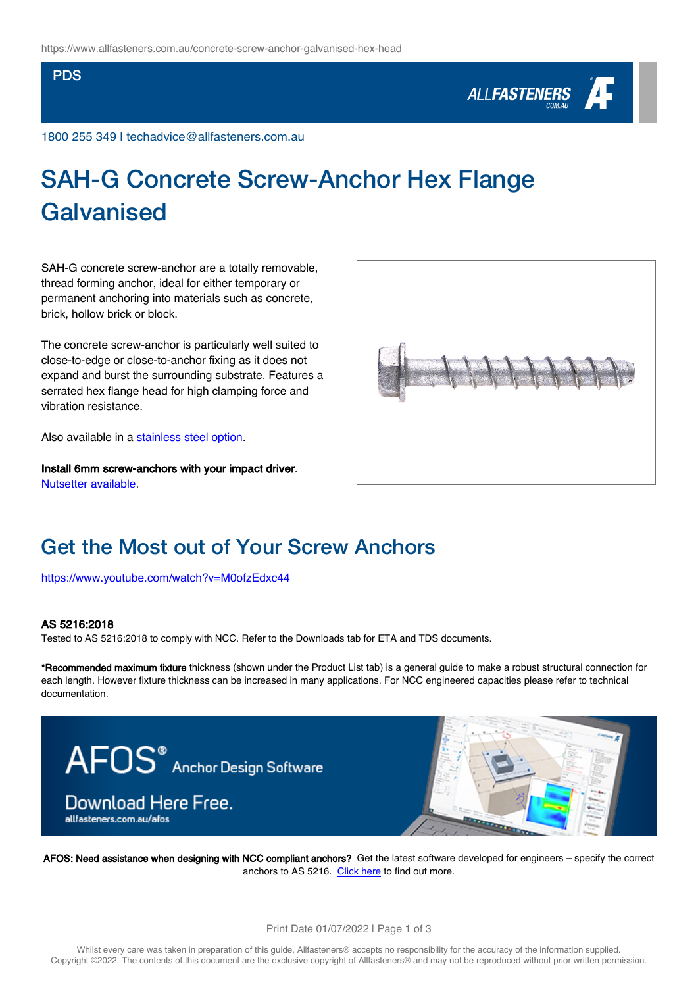#### PDS



1800 255 349 | techadvice@allfasteners.com.au

# SAH-G Concrete Screw-Anchor Hex Flange Galvanised

SAH-G concrete screw-anchor are a totally removable, thread forming anchor, ideal for either temporary or permanent anchoring into materials such as concrete, brick, hollow brick or block.

The concrete screw-anchor is particularly well suited to close-to-edge or close-to-anchor fixing as it does not expand and burst the surrounding substrate. Features a serrated hex flange head for high clamping force and vibration resistance.

Also available in a [stainless steel option](https://www.allfasteners.com.au/concrete-screw-anchor-316-stainless-steel-hex).

Install 6mm screw-anchors with your impact driver. [Nutsetter available.](https://www.allfasteners.com.au/10mm-nutsetter-impact-bit)



### Get the Most out of Your Screw Anchors

<https://www.youtube.com/watch?v=M0ofzEdxc44>

#### AS 5216:2018

Tested to AS 5216:2018 to comply with NCC. Refer to the Downloads tab for ETA and TDS documents.

\*Recommended maximum fixture thickness (shown under the Product List tab) is a general guide to make a robust structural connection for each length. However fixture thickness can be increased in many applications. For NCC engineered capacities please refer to technical documentation.



AFOS: Need assistance when designing with NCC compliant anchors? Get the latest software developed for engineers – specify the correct anchors to AS 5216. [Click here](http://www.allfasteners.com.au/afos) to find out more.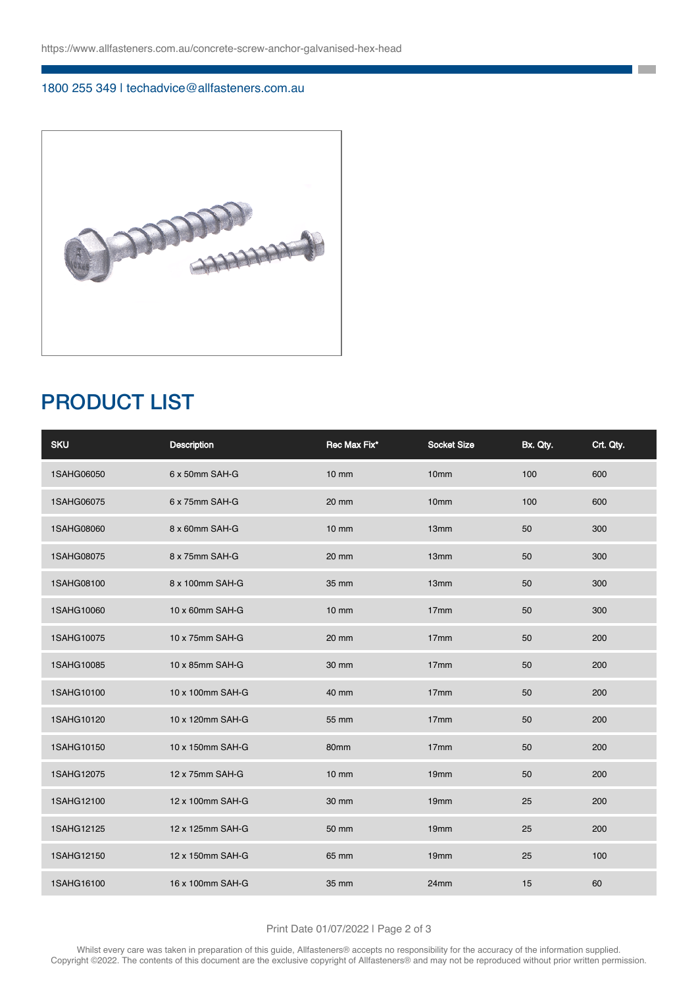#### 1800 255 349 | techadvice@allfasteners.com.au



## PRODUCT LIST

| <b>SKU</b> | <b>Description</b> | Rec Max Fix*    | <b>Socket Size</b> | Bx. Qty. | Crt. Qty. |
|------------|--------------------|-----------------|--------------------|----------|-----------|
| 1SAHG06050 | 6 x 50mm SAH-G     | $10 \text{ mm}$ | 10 <sub>mm</sub>   | 100      | 600       |
| 1SAHG06075 | 6 x 75mm SAH-G     | 20 mm           | 10 <sub>mm</sub>   | 100      | 600       |
| 1SAHG08060 | 8 x 60mm SAH-G     | $10 \text{ mm}$ | 13 <sub>mm</sub>   | 50       | 300       |
| 1SAHG08075 | 8 x 75mm SAH-G     | 20 mm           | 13mm               | 50       | 300       |
| 1SAHG08100 | 8 x 100mm SAH-G    | 35 mm           | 13mm               | 50       | 300       |
| 1SAHG10060 | 10 x 60mm SAH-G    | $10 \text{ mm}$ | 17 <sub>mm</sub>   | 50       | 300       |
| 1SAHG10075 | 10 x 75mm SAH-G    | 20 mm           | 17mm               | 50       | 200       |
| 1SAHG10085 | 10 x 85mm SAH-G    | 30 mm           | 17mm               | 50       | 200       |
| 1SAHG10100 | 10 x 100mm SAH-G   | 40 mm           | 17mm               | 50       | 200       |
| 1SAHG10120 | 10 x 120mm SAH-G   | 55 mm           | 17mm               | 50       | 200       |
| 1SAHG10150 | 10 x 150mm SAH-G   | 80mm            | 17mm               | 50       | 200       |
| 1SAHG12075 | 12 x 75mm SAH-G    | $10$ mm         | 19mm               | 50       | 200       |
| 1SAHG12100 | 12 x 100mm SAH-G   | 30 mm           | 19 <sub>mm</sub>   | 25       | 200       |
| 1SAHG12125 | 12 x 125mm SAH-G   | 50 mm           | 19 <sub>mm</sub>   | 25       | 200       |
| 1SAHG12150 | 12 x 150mm SAH-G   | 65 mm           | 19 <sub>mm</sub>   | 25       | 100       |
| 1SAHG16100 | 16 x 100mm SAH-G   | 35 mm           | 24mm               | 15       | 60        |

**The State** 

#### Print Date 01/07/2022 | Page 2 of 3

Whilst every care was taken in preparation of this guide, Allfasteners® accepts no responsibility for the accuracy of the information supplied. Copyright ©2022. The contents of this document are the exclusive copyright of Allfasteners® and may not be reproduced without prior written permission.